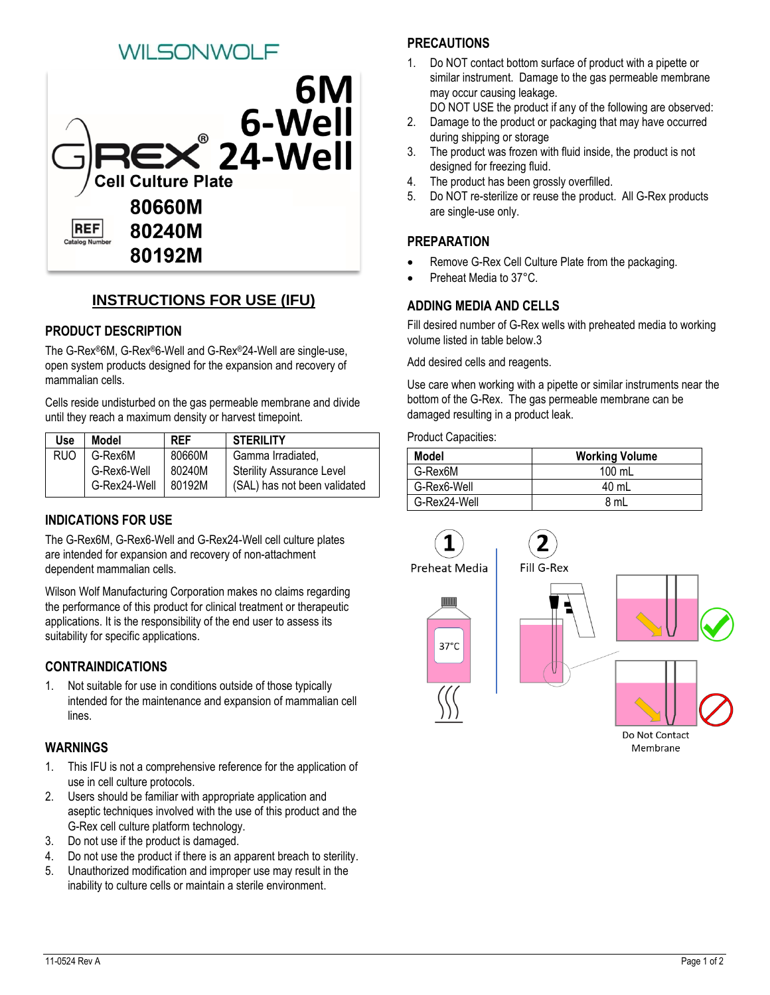# **ILSONWOLF**



# **INSTRUCTIONS FOR USE (IFU)**

# **PRODUCT DESCRIPTION**

The G-Rex®6M, G-Rex®6-Well and G-Rex®24-Well are single-use, open system products designed for the expansion and recovery of mammalian cells.

Cells reside undisturbed on the gas permeable membrane and divide until they reach a maximum density or harvest timepoint.

| Use  | Model        | <b>REF</b> | <b>STERILITY</b>                 |  |
|------|--------------|------------|----------------------------------|--|
| RUO. | G-Rex6M      | 80660M     | Gamma Irradiated.                |  |
|      | G-Rex6-Well  | 80240M     | <b>Sterility Assurance Level</b> |  |
|      | G-Rex24-Well | 80192M     | (SAL) has not been validated     |  |

# **INDICATIONS FOR USE**

The G-Rex6M, G-Rex6-Well and G-Rex24-Well cell culture plates are intended for expansion and recovery of non-attachment dependent mammalian cells.

Wilson Wolf Manufacturing Corporation makes no claims regarding the performance of this product for clinical treatment or therapeutic applications. It is the responsibility of the end user to assess its suitability for specific applications.

#### **CONTRAINDICATIONS**

1. Not suitable for use in conditions outside of those typically intended for the maintenance and expansion of mammalian cell lines.

#### **WARNINGS**

- 1. This IFU is not a comprehensive reference for the application of use in cell culture protocols.
- 2. Users should be familiar with appropriate application and aseptic techniques involved with the use of this product and the G-Rex cell culture platform technology.
- 3. Do not use if the product is damaged.
- 4. Do not use the product if there is an apparent breach to sterility.
- 5. Unauthorized modification and improper use may result in the inability to culture cells or maintain a sterile environment.

# **PRECAUTIONS**

- 1. Do NOT contact bottom surface of product with a pipette or similar instrument. Damage to the gas permeable membrane may occur causing leakage.
	- DO NOT USE the product if any of the following are observed:
- 2. Damage to the product or packaging that may have occurred during shipping or storage
- 3. The product was frozen with fluid inside, the product is not designed for freezing fluid.
- 4. The product has been grossly overfilled.
- 5. Do NOT re-sterilize or reuse the product. All G-Rex products are single-use only.

# **PREPARATION**

- Remove G-Rex Cell Culture Plate from the packaging.
- Preheat Media to 37°C.

# **ADDING MEDIA AND CELLS**

Fill desired number of G-Rex wells with preheated media to working volume listed in table below.3

Add desired cells and reagents.

Use care when working with a pipette or similar instruments near the bottom of the G-Rex. The gas permeable membrane can be damaged resulting in a product leak.

Product Capacities:

| Model        | <b>Working Volume</b> |  |
|--------------|-----------------------|--|
| G-Rex6M      | $100 \text{ mL}$      |  |
| G-Rex6-Well  | 40 mL                 |  |
| G-Rex24-Well | 8 mL                  |  |